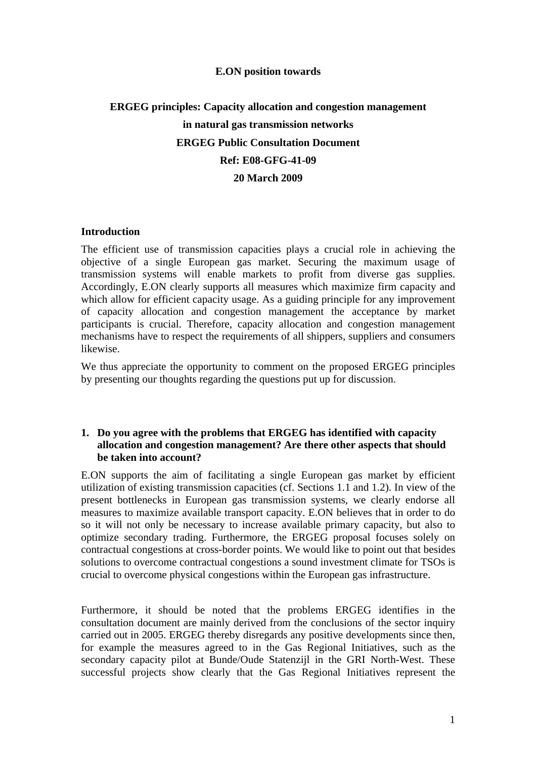#### **E.ON position towards**

# **ERGEG principles: Capacity allocation and congestion management in natural gas transmission networks ERGEG Public Consultation Document Ref: E08-GFG-41-09 20 March 2009**

#### **Introduction**

The efficient use of transmission capacities plays a crucial role in achieving the objective of a single European gas market. Securing the maximum usage of transmission systems will enable markets to profit from diverse gas supplies. Accordingly, E.ON clearly supports all measures which maximize firm capacity and which allow for efficient capacity usage. As a guiding principle for any improvement of capacity allocation and congestion management the acceptance by market participants is crucial. Therefore, capacity allocation and congestion management mechanisms have to respect the requirements of all shippers, suppliers and consumers likewise.

We thus appreciate the opportunity to comment on the proposed ERGEG principles by presenting our thoughts regarding the questions put up for discussion.

#### **1. Do you agree with the problems that ERGEG has identified with capacity allocation and congestion management? Are there other aspects that should be taken into account?**

E.ON supports the aim of facilitating a single European gas market by efficient utilization of existing transmission capacities (cf. Sections 1.1 and 1.2). In view of the present bottlenecks in European gas transmission systems, we clearly endorse all measures to maximize available transport capacity. E.ON believes that in order to do so it will not only be necessary to increase available primary capacity, but also to optimize secondary trading. Furthermore, the ERGEG proposal focuses solely on contractual congestions at cross-border points. We would like to point out that besides solutions to overcome contractual congestions a sound investment climate for TSOs is crucial to overcome physical congestions within the European gas infrastructure.

Furthermore, it should be noted that the problems ERGEG identifies in the consultation document are mainly derived from the conclusions of the sector inquiry carried out in 2005. ERGEG thereby disregards any positive developments since then, for example the measures agreed to in the Gas Regional Initiatives, such as the secondary capacity pilot at Bunde/Oude Statenzijl in the GRI North-West. These successful projects show clearly that the Gas Regional Initiatives represent the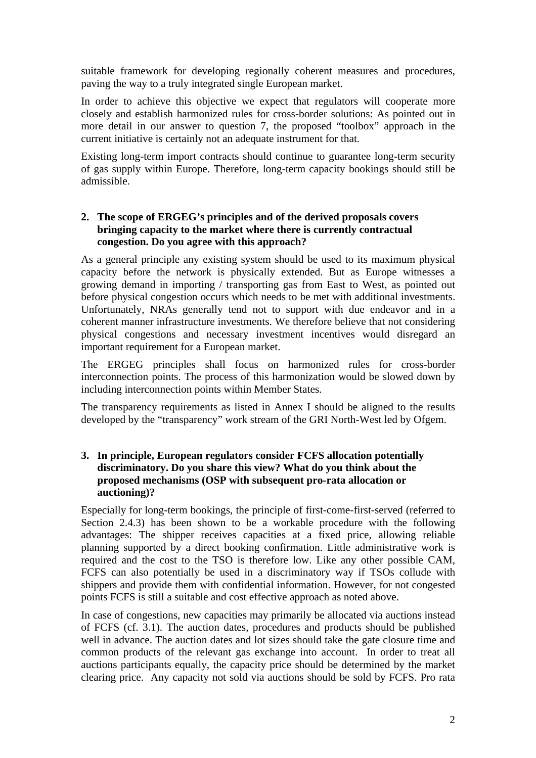suitable framework for developing regionally coherent measures and procedures, paving the way to a truly integrated single European market.

In order to achieve this objective we expect that regulators will cooperate more closely and establish harmonized rules for cross-border solutions: As pointed out in more detail in our answer to question 7, the proposed "toolbox" approach in the current initiative is certainly not an adequate instrument for that.

Existing long-term import contracts should continue to guarantee long-term security of gas supply within Europe. Therefore, long-term capacity bookings should still be admissible.

# **2. The scope of ERGEG's principles and of the derived proposals covers bringing capacity to the market where there is currently contractual congestion. Do you agree with this approach?**

As a general principle any existing system should be used to its maximum physical capacity before the network is physically extended. But as Europe witnesses a growing demand in importing / transporting gas from East to West, as pointed out before physical congestion occurs which needs to be met with additional investments. Unfortunately, NRAs generally tend not to support with due endeavor and in a coherent manner infrastructure investments. We therefore believe that not considering physical congestions and necessary investment incentives would disregard an important requirement for a European market.

The ERGEG principles shall focus on harmonized rules for cross-border interconnection points. The process of this harmonization would be slowed down by including interconnection points within Member States.

The transparency requirements as listed in Annex I should be aligned to the results developed by the "transparency" work stream of the GRI North-West led by Ofgem.

## **3. In principle, European regulators consider FCFS allocation potentially discriminatory. Do you share this view? What do you think about the proposed mechanisms (OSP with subsequent pro-rata allocation or auctioning)?**

Especially for long-term bookings, the principle of first-come-first-served (referred to Section 2.4.3) has been shown to be a workable procedure with the following advantages: The shipper receives capacities at a fixed price, allowing reliable planning supported by a direct booking confirmation. Little administrative work is required and the cost to the TSO is therefore low. Like any other possible CAM, FCFS can also potentially be used in a discriminatory way if TSOs collude with shippers and provide them with confidential information. However, for not congested points FCFS is still a suitable and cost effective approach as noted above.

In case of congestions, new capacities may primarily be allocated via auctions instead of FCFS (cf. 3.1). The auction dates, procedures and products should be published well in advance. The auction dates and lot sizes should take the gate closure time and common products of the relevant gas exchange into account. In order to treat all auctions participants equally, the capacity price should be determined by the market clearing price. Any capacity not sold via auctions should be sold by FCFS. Pro rata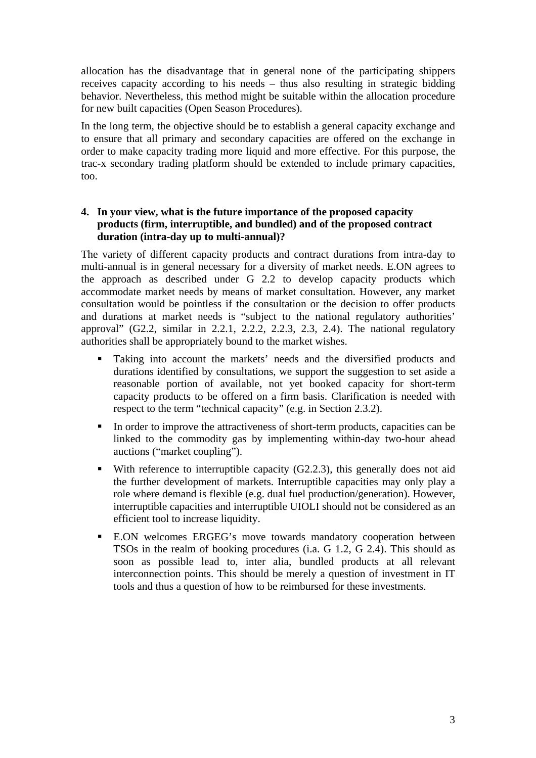allocation has the disadvantage that in general none of the participating shippers receives capacity according to his needs – thus also resulting in strategic bidding behavior. Nevertheless, this method might be suitable within the allocation procedure for new built capacities (Open Season Procedures).

In the long term, the objective should be to establish a general capacity exchange and to ensure that all primary and secondary capacities are offered on the exchange in order to make capacity trading more liquid and more effective. For this purpose, the trac-x secondary trading platform should be extended to include primary capacities, too.

# **4. In your view, what is the future importance of the proposed capacity products (firm, interruptible, and bundled) and of the proposed contract duration (intra-day up to multi-annual)?**

The variety of different capacity products and contract durations from intra-day to multi-annual is in general necessary for a diversity of market needs. E.ON agrees to the approach as described under G 2.2 to develop capacity products which accommodate market needs by means of market consultation. However, any market consultation would be pointless if the consultation or the decision to offer products and durations at market needs is "subject to the national regulatory authorities' approval" (G2.2, similar in 2.2.1, 2.2.2, 2.2.3, 2.3, 2.4). The national regulatory authorities shall be appropriately bound to the market wishes.

- Taking into account the markets' needs and the diversified products and durations identified by consultations, we support the suggestion to set aside a reasonable portion of available, not yet booked capacity for short-term capacity products to be offered on a firm basis. Clarification is needed with respect to the term "technical capacity" (e.g. in Section 2.3.2).
- In order to improve the attractiveness of short-term products, capacities can be linked to the commodity gas by implementing within-day two-hour ahead auctions ("market coupling").
- With reference to interruptible capacity  $(G2.2.3)$ , this generally does not aid the further development of markets. Interruptible capacities may only play a role where demand is flexible (e.g. dual fuel production/generation). However, interruptible capacities and interruptible UIOLI should not be considered as an efficient tool to increase liquidity.
- E.ON welcomes ERGEG's move towards mandatory cooperation between TSOs in the realm of booking procedures (i.a. G 1.2, G 2.4). This should as soon as possible lead to, inter alia, bundled products at all relevant interconnection points. This should be merely a question of investment in IT tools and thus a question of how to be reimbursed for these investments.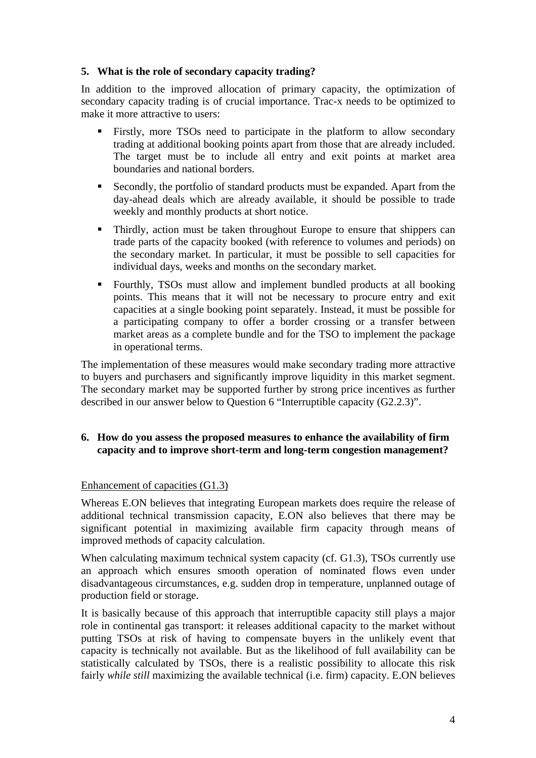# **5. What is the role of secondary capacity trading?**

In addition to the improved allocation of primary capacity, the optimization of secondary capacity trading is of crucial importance. Trac-x needs to be optimized to make it more attractive to users:

- Firstly, more TSOs need to participate in the platform to allow secondary trading at additional booking points apart from those that are already included. The target must be to include all entry and exit points at market area boundaries and national borders.
- Secondly, the portfolio of standard products must be expanded. Apart from the day-ahead deals which are already available, it should be possible to trade weekly and monthly products at short notice.
- Thirdly, action must be taken throughout Europe to ensure that shippers can trade parts of the capacity booked (with reference to volumes and periods) on the secondary market. In particular, it must be possible to sell capacities for individual days, weeks and months on the secondary market.
- Fourthly, TSOs must allow and implement bundled products at all booking points. This means that it will not be necessary to procure entry and exit capacities at a single booking point separately. Instead, it must be possible for a participating company to offer a border crossing or a transfer between market areas as a complete bundle and for the TSO to implement the package in operational terms.

The implementation of these measures would make secondary trading more attractive to buyers and purchasers and significantly improve liquidity in this market segment. The secondary market may be supported further by strong price incentives as further described in our answer below to Question 6 "Interruptible capacity (G2.2.3)".

# **6. How do you assess the proposed measures to enhance the availability of firm capacity and to improve short-term and long-term congestion management?**

#### Enhancement of capacities (G1.3)

Whereas E.ON believes that integrating European markets does require the release of additional technical transmission capacity, E.ON also believes that there may be significant potential in maximizing available firm capacity through means of improved methods of capacity calculation.

When calculating maximum technical system capacity (cf. G1.3), TSOs currently use an approach which ensures smooth operation of nominated flows even under disadvantageous circumstances, e.g. sudden drop in temperature, unplanned outage of production field or storage.

It is basically because of this approach that interruptible capacity still plays a major role in continental gas transport: it releases additional capacity to the market without putting TSOs at risk of having to compensate buyers in the unlikely event that capacity is technically not available. But as the likelihood of full availability can be statistically calculated by TSOs, there is a realistic possibility to allocate this risk fairly *while still* maximizing the available technical (i.e. firm) capacity. E.ON believes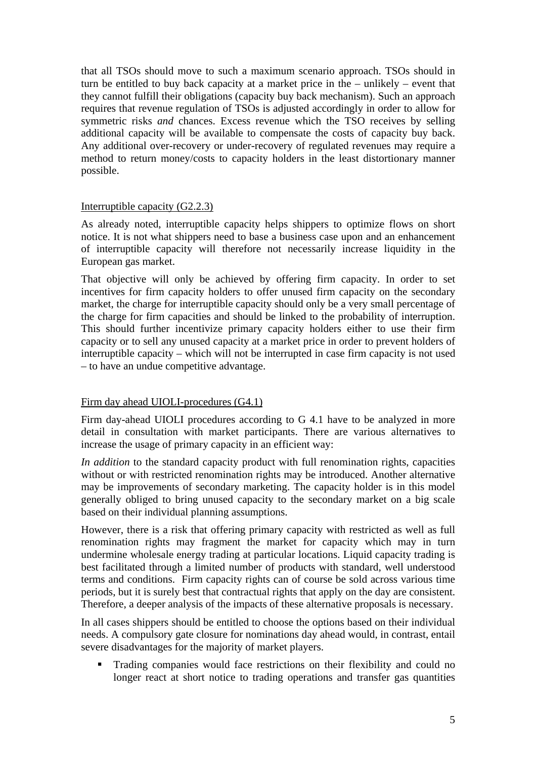that all TSOs should move to such a maximum scenario approach. TSOs should in turn be entitled to buy back capacity at a market price in the – unlikely – event that they cannot fulfill their obligations (capacity buy back mechanism). Such an approach requires that revenue regulation of TSOs is adjusted accordingly in order to allow for symmetric risks *and* chances. Excess revenue which the TSO receives by selling additional capacity will be available to compensate the costs of capacity buy back. Any additional over-recovery or under-recovery of regulated revenues may require a method to return money/costs to capacity holders in the least distortionary manner possible.

## Interruptible capacity (G2.2.3)

As already noted, interruptible capacity helps shippers to optimize flows on short notice. It is not what shippers need to base a business case upon and an enhancement of interruptible capacity will therefore not necessarily increase liquidity in the European gas market.

That objective will only be achieved by offering firm capacity. In order to set incentives for firm capacity holders to offer unused firm capacity on the secondary market, the charge for interruptible capacity should only be a very small percentage of the charge for firm capacities and should be linked to the probability of interruption. This should further incentivize primary capacity holders either to use their firm capacity or to sell any unused capacity at a market price in order to prevent holders of interruptible capacity – which will not be interrupted in case firm capacity is not used – to have an undue competitive advantage.

# Firm day ahead UIOLI-procedures (G4.1)

Firm day-ahead UIOLI procedures according to G 4.1 have to be analyzed in more detail in consultation with market participants. There are various alternatives to increase the usage of primary capacity in an efficient way:

*In addition* to the standard capacity product with full renomination rights, capacities without or with restricted renomination rights may be introduced. Another alternative may be improvements of secondary marketing. The capacity holder is in this model generally obliged to bring unused capacity to the secondary market on a big scale based on their individual planning assumptions.

However, there is a risk that offering primary capacity with restricted as well as full renomination rights may fragment the market for capacity which may in turn undermine wholesale energy trading at particular locations. Liquid capacity trading is best facilitated through a limited number of products with standard, well understood terms and conditions. Firm capacity rights can of course be sold across various time periods, but it is surely best that contractual rights that apply on the day are consistent. Therefore, a deeper analysis of the impacts of these alternative proposals is necessary.

In all cases shippers should be entitled to choose the options based on their individual needs. A compulsory gate closure for nominations day ahead would, in contrast, entail severe disadvantages for the majority of market players.

 Trading companies would face restrictions on their flexibility and could no longer react at short notice to trading operations and transfer gas quantities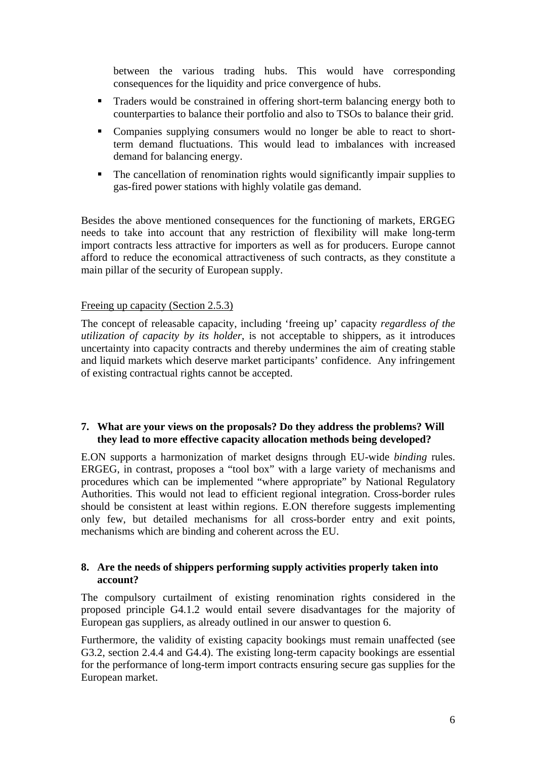between the various trading hubs. This would have corresponding consequences for the liquidity and price convergence of hubs.

- Traders would be constrained in offering short-term balancing energy both to counterparties to balance their portfolio and also to TSOs to balance their grid.
- Companies supplying consumers would no longer be able to react to shortterm demand fluctuations. This would lead to imbalances with increased demand for balancing energy.
- The cancellation of renomination rights would significantly impair supplies to gas-fired power stations with highly volatile gas demand.

Besides the above mentioned consequences for the functioning of markets, ERGEG needs to take into account that any restriction of flexibility will make long-term import contracts less attractive for importers as well as for producers. Europe cannot afford to reduce the economical attractiveness of such contracts, as they constitute a main pillar of the security of European supply.

## Freeing up capacity (Section 2.5.3)

The concept of releasable capacity, including 'freeing up' capacity *regardless of the utilization of capacity by its holder*, is not acceptable to shippers, as it introduces uncertainty into capacity contracts and thereby undermines the aim of creating stable and liquid markets which deserve market participants' confidence. Any infringement of existing contractual rights cannot be accepted.

## **7. What are your views on the proposals? Do they address the problems? Will they lead to more effective capacity allocation methods being developed?**

E.ON supports a harmonization of market designs through EU-wide *binding* rules. ERGEG, in contrast, proposes a "tool box" with a large variety of mechanisms and procedures which can be implemented "where appropriate" by National Regulatory Authorities. This would not lead to efficient regional integration. Cross-border rules should be consistent at least within regions. E.ON therefore suggests implementing only few, but detailed mechanisms for all cross-border entry and exit points, mechanisms which are binding and coherent across the EU.

## **8. Are the needs of shippers performing supply activities properly taken into account?**

The compulsory curtailment of existing renomination rights considered in the proposed principle G4.1.2 would entail severe disadvantages for the majority of European gas suppliers, as already outlined in our answer to question 6.

Furthermore, the validity of existing capacity bookings must remain unaffected (see G3.2, section 2.4.4 and G4.4). The existing long-term capacity bookings are essential for the performance of long-term import contracts ensuring secure gas supplies for the European market.